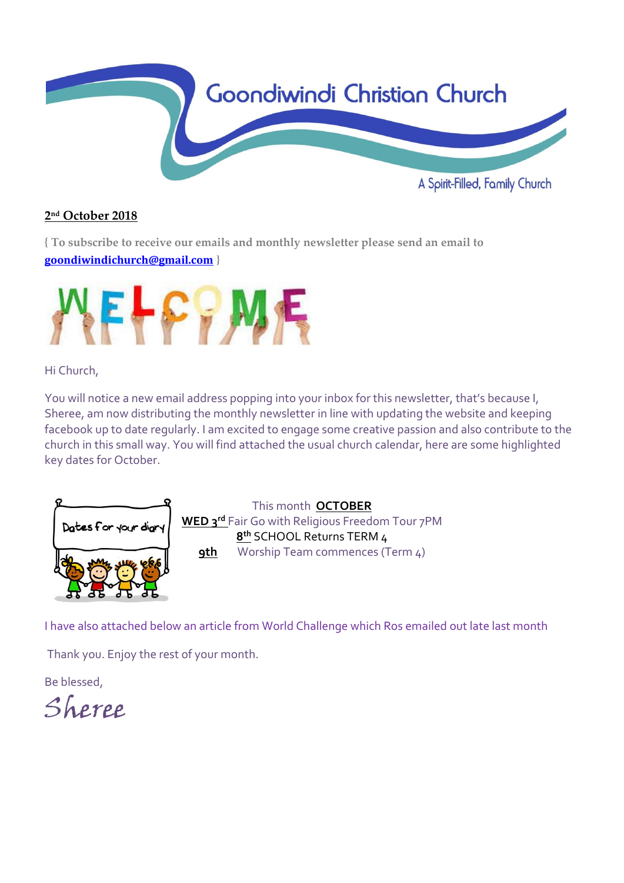

## **2 nd October 2018**

**{ To subscribe to receive our emails and monthly newsletter please send an email to [goondiwindichurch@gmail.com](mailto:goondiwindichurch@gmail.com) }**



## Hi Church,

You will notice a new email address popping into your inbox for this newsletter, that's because I, Sheree, am now distributing the monthly newsletter in line with updating the website and keeping facebook up to date regularly. I am excited to engage some creative passion and also contribute to the church in this small way. You will find attached the usual church calendar, here are some highlighted key dates for October.



This month **OCTOBER WED 3rd** Fair Go with Religious Freedom Tour 7PM **8 th** SCHOOL Returns TERM 4 **9th** Worship Team commences (Term 4)

I have also attached below an article from World Challenge which Ros emailed out late last month

Thank you. Enjoy the rest of your month.

Be blessed,

Sheree